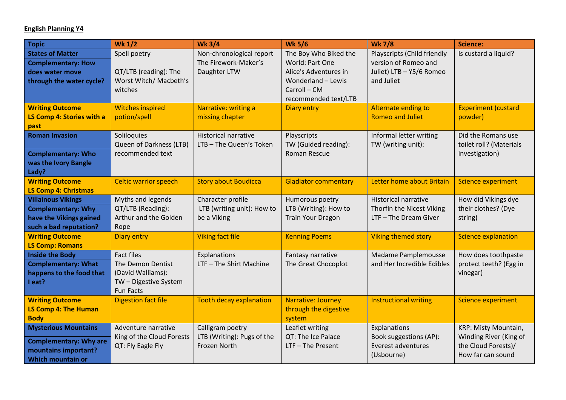## **English Planning Y4**

| <b>Topic</b>                                                                                                     | <b>Wk 1/2</b>                                                                                            | <b>Wk 3/4</b>                                                    | <b>Wk 5/6</b>                                                                                                                   | <b>Wk 7/8</b>                                                                                 | <b>Science:</b>                                                                            |
|------------------------------------------------------------------------------------------------------------------|----------------------------------------------------------------------------------------------------------|------------------------------------------------------------------|---------------------------------------------------------------------------------------------------------------------------------|-----------------------------------------------------------------------------------------------|--------------------------------------------------------------------------------------------|
| <b>States of Matter</b><br><b>Complementary: How</b><br>does water move<br>through the water cycle?              | Spell poetry<br>QT/LTB (reading): The<br>Worst Witch/ Macbeth's<br>witches                               | Non-chronological report<br>The Firework-Maker's<br>Daughter LTW | The Boy Who Biked the<br>World: Part One<br>Alice's Adventures in<br>Wonderland - Lewis<br>Carroll - CM<br>recommended text/LTB | Playscripts (Child friendly<br>version of Romeo and<br>Juliet) LTB - Y5/6 Romeo<br>and Juliet | Is custard a liquid?                                                                       |
| <b>Writing Outcome</b><br>LS Comp 4: Stories with a<br>past                                                      | <b>Witches inspired</b><br>potion/spell                                                                  | Narrative: writing a<br>missing chapter                          | <b>Diary entry</b>                                                                                                              | Alternate ending to<br><b>Romeo and Juliet</b>                                                | <b>Experiment (custard</b><br>powder)                                                      |
| <b>Roman Invasion</b><br><b>Complementary: Who</b><br>was the Ivory Bangle<br>Lady?                              | Soliloquies<br>Queen of Darkness (LTB)<br>recommended text                                               | <b>Historical narrative</b><br>LTB-The Queen's Token             | Playscripts<br>TW (Guided reading):<br>Roman Rescue                                                                             | Informal letter writing<br>TW (writing unit):                                                 | Did the Romans use<br>toilet roll? (Materials<br>investigation)                            |
| <b>Writing Outcome</b><br><b>LS Comp 4: Christmas</b>                                                            | <b>Celtic warrior speech</b>                                                                             | <b>Story about Boudicca</b>                                      | <b>Gladiator commentary</b>                                                                                                     | Letter home about Britain                                                                     | <b>Science experiment</b>                                                                  |
| <b>Villainous Vikings</b><br><b>Complementary: Why</b><br>have the Vikings gained<br>such a bad reputation?      | Myths and legends<br>QT/LTB (Reading):<br>Arthur and the Golden<br>Rope                                  | Character profile<br>LTB (writing unit): How to<br>be a Viking   | Humorous poetry<br>LTB (Writing): How to<br><b>Train Your Dragon</b>                                                            | <b>Historical narrative</b><br>Thorfin the Nicest Viking<br>LTF - The Dream Giver             | How did Vikings dye<br>their clothes? (Dye<br>string)                                      |
| <b>Writing Outcome</b><br><b>LS Comp: Romans</b>                                                                 | <b>Diary entry</b>                                                                                       | <b>Viking fact file</b>                                          | <b>Kenning Poems</b>                                                                                                            | <b>Viking themed story</b>                                                                    | <b>Science explanation</b>                                                                 |
| <b>Inside the Body</b><br><b>Complementary: What</b><br>happens to the food that<br>I eat?                       | <b>Fact files</b><br>The Demon Dentist<br>(David Walliams):<br>TW - Digestive System<br><b>Fun Facts</b> | Explanations<br>LTF - The Shirt Machine                          | Fantasy narrative<br>The Great Chocoplot                                                                                        | Madame Pamplemousse<br>and Her Incredible Edibles                                             | How does toothpaste<br>protect teeth? (Egg in<br>vinegar)                                  |
| <b>Writing Outcome</b><br><b>LS Comp 4: The Human</b><br><b>Body</b>                                             | <b>Digestion fact file</b>                                                                               | <b>Tooth decay explanation</b>                                   | Narrative: Journey<br>through the digestive<br>system                                                                           | <b>Instructional writing</b>                                                                  | <b>Science experiment</b>                                                                  |
| <b>Mysterious Mountains</b><br><b>Complementary: Why are</b><br>mountains important?<br><b>Which mountain or</b> | Adventure narrative<br>King of the Cloud Forests<br>QT: Fly Eagle Fly                                    | Calligram poetry<br>LTB (Writing): Pugs of the<br>Frozen North   | Leaflet writing<br>QT: The Ice Palace<br>LTF-The Present                                                                        | Explanations<br>Book suggestions (AP):<br>Everest adventures<br>(Usbourne)                    | KRP: Misty Mountain,<br>Winding River (King of<br>the Cloud Forests)/<br>How far can sound |